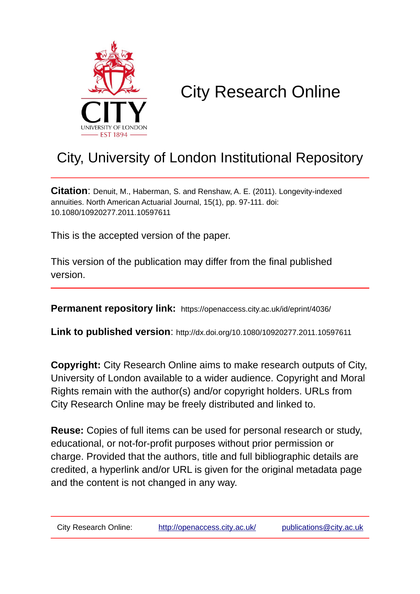

# City Research Online

# City, University of London Institutional Repository

**Citation**: Denuit, M., Haberman, S. and Renshaw, A. E. (2011). Longevity-indexed annuities. North American Actuarial Journal, 15(1), pp. 97-111. doi: 10.1080/10920277.2011.10597611

This is the accepted version of the paper.

This version of the publication may differ from the final published version.

**Permanent repository link:** https://openaccess.city.ac.uk/id/eprint/4036/

**Link to published version**: http://dx.doi.org/10.1080/10920277.2011.10597611

**Copyright:** City Research Online aims to make research outputs of City, University of London available to a wider audience. Copyright and Moral Rights remain with the author(s) and/or copyright holders. URLs from City Research Online may be freely distributed and linked to.

**Reuse:** Copies of full items can be used for personal research or study, educational, or not-for-profit purposes without prior permission or charge. Provided that the authors, title and full bibliographic details are credited, a hyperlink and/or URL is given for the original metadata page and the content is not changed in any way.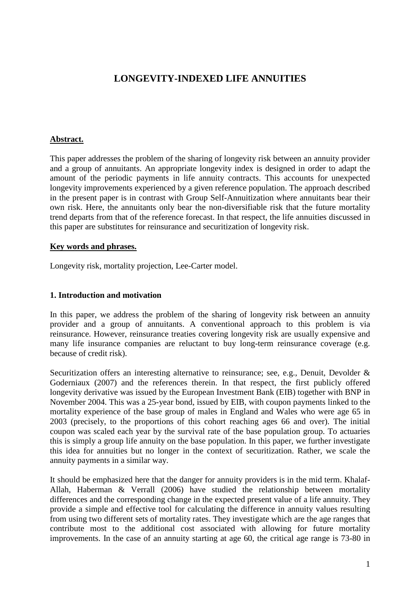# **LONGEVITY-INDEXED LIFE ANNUITIES**

# **Abstract.**

This paper addresses the problem of the sharing of longevity risk between an annuity provider and a group of annuitants. An appropriate longevity index is designed in order to adapt the amount of the periodic payments in life annuity contracts. This accounts for unexpected longevity improvements experienced by a given reference population. The approach described in the present paper is in contrast with Group Self-Annuitization where annuitants bear their own risk. Here, the annuitants only bear the non-diversifiable risk that the future mortality trend departs from that of the reference forecast. In that respect, the life annuities discussed in this paper are substitutes for reinsurance and securitization of longevity risk.

## **Key words and phrases.**

Longevity risk, mortality projection, Lee-Carter model.

# **1. Introduction and motivation**

In this paper, we address the problem of the sharing of longevity risk between an annuity provider and a group of annuitants. A conventional approach to this problem is via reinsurance. However, reinsurance treaties covering longevity risk are usually expensive and many life insurance companies are reluctant to buy long-term reinsurance coverage (e.g. because of credit risk).

Securitization offers an interesting alternative to reinsurance; see, e.g., Denuit, Devolder & Goderniaux (2007) and the references therein. In that respect, the first publicly offered longevity derivative was issued by the European Investment Bank (EIB) together with BNP in November 2004. This was a 25-year bond, issued by EIB, with coupon payments linked to the mortality experience of the base group of males in England and Wales who were age 65 in 2003 (precisely, to the proportions of this cohort reaching ages 66 and over). The initial coupon was scaled each year by the survival rate of the base population group. To actuaries this is simply a group life annuity on the base population. In this paper, we further investigate this idea for annuities but no longer in the context of securitization. Rather, we scale the annuity payments in a similar way.

It should be emphasized here that the danger for annuity providers is in the mid term. Khalaf-Allah, Haberman & Verrall (2006) have studied the relationship between mortality differences and the corresponding change in the expected present value of a life annuity. They provide a simple and effective tool for calculating the difference in annuity values resulting from using two different sets of mortality rates. They investigate which are the age ranges that contribute most to the additional cost associated with allowing for future mortality improvements. In the case of an annuity starting at age 60, the critical age range is 73-80 in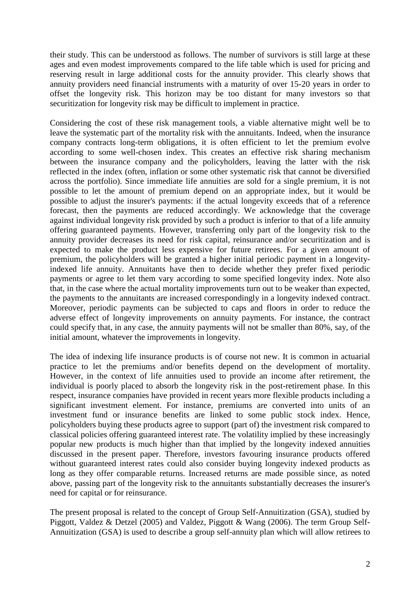their study. This can be understood as follows. The number of survivors is still large at these ages and even modest improvements compared to the life table which is used for pricing and reserving result in large additional costs for the annuity provider. This clearly shows that annuity providers need financial instruments with a maturity of over 15-20 years in order to offset the longevity risk. This horizon may be too distant for many investors so that securitization for longevity risk may be difficult to implement in practice.

Considering the cost of these risk management tools, a viable alternative might well be to leave the systematic part of the mortality risk with the annuitants. Indeed, when the insurance company contracts long-term obligations, it is often efficient to let the premium evolve according to some well-chosen index. This creates an effective risk sharing mechanism between the insurance company and the policyholders, leaving the latter with the risk reflected in the index (often, inflation or some other systematic risk that cannot be diversified across the portfolio). Since immediate life annuities are sold for a single premium, it is not possible to let the amount of premium depend on an appropriate index, but it would be possible to adjust the insurer's payments: if the actual longevity exceeds that of a reference forecast, then the payments are reduced accordingly. We acknowledge that the coverage against individual longevity risk provided by such a product is inferior to that of a life annuity offering guaranteed payments. However, transferring only part of the longevity risk to the annuity provider decreases its need for risk capital, reinsurance and/or securitization and is expected to make the product less expensive for future retirees. For a given amount of premium, the policyholders will be granted a higher initial periodic payment in a longevityindexed life annuity. Annuitants have then to decide whether they prefer fixed periodic payments or agree to let them vary according to some specified longevity index. Note also that, in the case where the actual mortality improvements turn out to be weaker than expected, the payments to the annuitants are increased correspondingly in a longevity indexed contract. Moreover, periodic payments can be subjected to caps and floors in order to reduce the adverse effect of longevity improvements on annuity payments. For instance, the contract could specify that, in any case, the annuity payments will not be smaller than 80%, say, of the initial amount, whatever the improvements in longevity.

The idea of indexing life insurance products is of course not new. It is common in actuarial practice to let the premiums and/or benefits depend on the development of mortality. However, in the context of life annuities used to provide an income after retirement, the individual is poorly placed to absorb the longevity risk in the post-retirement phase. In this respect, insurance companies have provided in recent years more flexible products including a significant investment element. For instance, premiums are converted into units of an investment fund or insurance benefits are linked to some public stock index. Hence, policyholders buying these products agree to support (part of) the investment risk compared to classical policies offering guaranteed interest rate. The volatility implied by these increasingly popular new products is much higher than that implied by the longevity indexed annuities discussed in the present paper. Therefore, investors favouring insurance products offered without guaranteed interest rates could also consider buying longevity indexed products as long as they offer comparable returns. Increased returns are made possible since, as noted above, passing part of the longevity risk to the annuitants substantially decreases the insurer's need for capital or for reinsurance.

The present proposal is related to the concept of Group Self-Annuitization (GSA), studied by Piggott, Valdez & Detzel (2005) and Valdez, Piggott & Wang (2006). The term Group Self-Annuitization (GSA) is used to describe a group self-annuity plan which will allow retirees to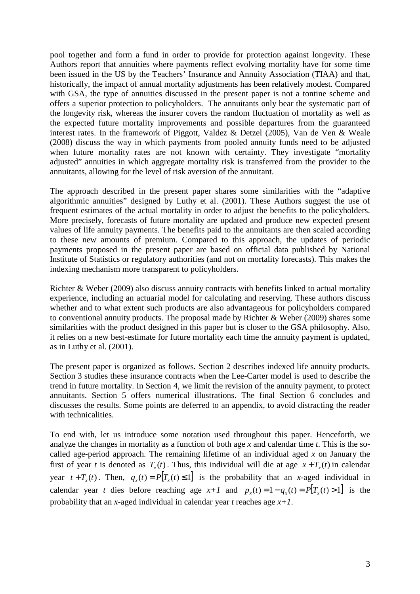pool together and form a fund in order to provide for protection against longevity. These Authors report that annuities where payments reflect evolving mortality have for some time been issued in the US by the Teachers' Insurance and Annuity Association (TIAA) and that, historically, the impact of annual mortality adjustments has been relatively modest. Compared with GSA, the type of annuities discussed in the present paper is not a tontine scheme and offers a superior protection to policyholders. The annuitants only bear the systematic part of the longevity risk, whereas the insurer covers the random fluctuation of mortality as well as the expected future mortality improvements and possible departures from the guaranteed interest rates. In the framework of Piggott, Valdez & Detzel (2005), Van de Ven & Weale (2008) discuss the way in which payments from pooled annuity funds need to be adjusted when future mortality rates are not known with certainty. They investigate "mortality" adjusted" annuities in which aggregate mortality risk is transferred from the provider to the annuitants, allowing for the level of risk aversion of the annuitant.

The approach described in the present paper shares some similarities with the "adaptive algorithmic annuities" designed by Luthy et al. (2001). These Authors suggest the use of frequent estimates of the actual mortality in order to adjust the benefits to the policyholders. More precisely, forecasts of future mortality are updated and produce new expected present values of life annuity payments. The benefits paid to the annuitants are then scaled according to these new amounts of premium. Compared to this approach, the updates of periodic payments proposed in the present paper are based on official data published by National Institute of Statistics or regulatory authorities (and not on mortality forecasts). This makes the indexing mechanism more transparent to policyholders.

Richter & Weber (2009) also discuss annuity contracts with benefits linked to actual mortality experience, including an actuarial model for calculating and reserving. These authors discuss whether and to what extent such products are also advantageous for policyholders compared to conventional annuity products. The proposal made by Richter & Weber (2009) shares some similarities with the product designed in this paper but is closer to the GSA philosophy. Also, it relies on a new best-estimate for future mortality each time the annuity payment is updated, as in Luthy et al. (2001).

The present paper is organized as follows. Section 2 describes indexed life annuity products. Section 3 studies these insurance contracts when the Lee-Carter model is used to describe the trend in future mortality. In Section 4, we limit the revision of the annuity payment, to protect annuitants. Section 5 offers numerical illustrations. The final Section 6 concludes and discusses the results. Some points are deferred to an appendix, to avoid distracting the reader with technicalities.

To end with, let us introduce some notation used throughout this paper. Henceforth, we analyze the changes in mortality as a function of both age *x* and calendar time *t*. This is the socalled age-period approach. The remaining lifetime of an individual aged *x* on January the first of year *t* is denoted as  $T_x(t)$ . Thus, this individual will die at age  $x + T_x(t)$  in calendar year  $t + T_x(t)$ . Then,  $q_x(t) = P[T_x(t) \le 1]$  is the probability that an *x*-aged individual in calendar year *t* dies before reaching age  $x+1$  and  $p_x(t) = 1 - q_x(t) = P[T_x(t) > 1]$  is the probability that an *x*-aged individual in calendar year *t* reaches age *x+1*.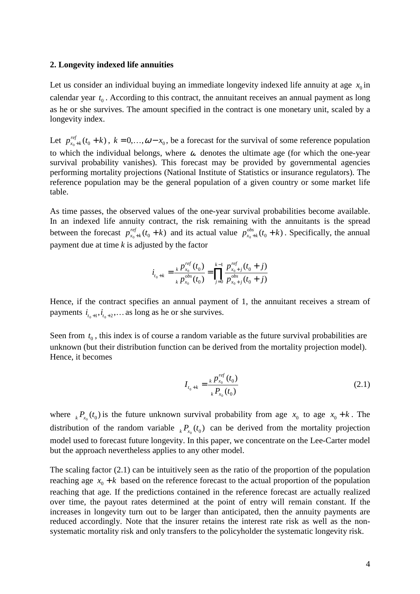#### **2. Longevity indexed life annuities**

Let us consider an individual buying an immediate longevity indexed life annuity at age  $x_0$  in calendar year  $t_0$ . According to this contract, the annuitant receives an annual payment as long as he or she survives. The amount specified in the contract is one monetary unit, scaled by a longevity index.

Let  $p_{x_0+k}^{ref}(t_0 + k)$ ,  $k = 0,..., \omega - x_0$ , be a forecast for the survival of some reference population to which the individual belongs, where  $\omega$  denotes the ultimate age (for which the one-year survival probability vanishes). This forecast may be provided by governmental agencies performing mortality projections (National Institute of Statistics or insurance regulators). The reference population may be the general population of a given country or some market life table.

As time passes, the observed values of the one-year survival probabilities become available. In an indexed life annuity contract, the risk remaining with the annuitants is the spread between the forecast  $p_{x_0+k}^{ref}(t_0 + k)$  and its actual value  $p_{x_0+k}^{obs}(t_0 + k)$ . Specifically, the annual payment due at time *k* is adjusted by the factor

$$
i_{t_0+k} = \frac{{}_{k} P_{x_0}^{ref}(t_0)}{{}_{k} P_{x_0}^{obs}(t_0)} = \prod_{j=0}^{k-1} \frac{P_{x_0+j}^{ref}(t_0+j)}{P_{x_0+j}^{obs}(t_0+j)}
$$

Hence, if the contract specifies an annual payment of 1, the annuitant receives a stream of payments  $i_{t_0+1}, i_{t_0+2}, \ldots$  as long as he or she survives.

Seen from  $t_0$ , this index is of course a random variable as the future survival probabilities are unknown (but their distribution function can be derived from the mortality projection model). Hence, it becomes

$$
I_{t_0+k} = \frac{{}_k P_{x_0}^{ref}(t_0)}{{}_k P_{x_0}(t_0)}
$$
\n(2.1)

where  ${}_{k}P_{x_0}(t_0)$  is the future unknown survival probability from age  $x_0$  to age  $x_0 + k$ . The distribution of the random variable  ${}_{k}P_{x_0}(t_0)$  can be derived from the mortality projection model used to forecast future longevity. In this paper, we concentrate on the Lee-Carter model but the approach nevertheless applies to any other model.

The scaling factor (2.1) can be intuitively seen as the ratio of the proportion of the population reaching age  $x_0 + k$  based on the reference forecast to the actual proportion of the population reaching that age. If the predictions contained in the reference forecast are actually realized over time, the payout rates determined at the point of entry will remain constant. If the increases in longevity turn out to be larger than anticipated, then the annuity payments are reduced accordingly. Note that the insurer retains the interest rate risk as well as the nonsystematic mortality risk and only transfers to the policyholder the systematic longevity risk.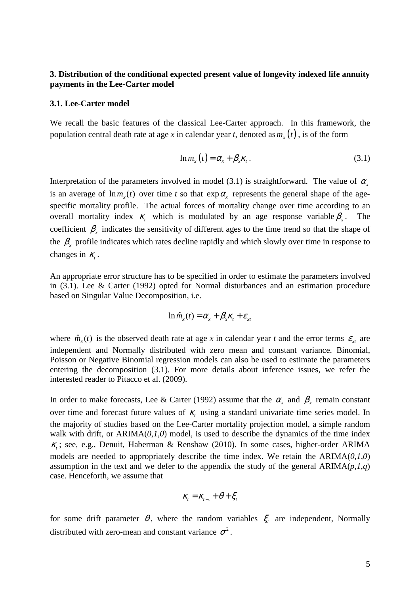### **3. Distribution of the conditional expected present value of longevity indexed life annuity payments in the Lee-Carter model**

#### **3.1. Lee-Carter model**

We recall the basic features of the classical Lee-Carter approach. In this framework, the population central death rate at age *x* in calendar year *t*, denoted as  $m_r(t)$ , is of the form

$$
\ln m_x(t) = \alpha_x + \beta_x \kappa_t. \tag{3.1}
$$

Interpretation of the parameters involved in model (3.1) is straightforward. The value of  $\alpha$ is an average of  $\ln m_x(t)$  over time *t* so that  $\exp \alpha_x$  represents the general shape of the agespecific mortality profile. The actual forces of mortality change over time according to an overall mortality index  $\kappa$ , which is modulated by an age response variable  $\beta$ <sub>x</sub>. The coefficient  $\beta_x$  indicates the sensitivity of different ages to the time trend so that the shape of the  $\beta_x$  profile indicates which rates decline rapidly and which slowly over time in response to changes in  $\kappa$ <sub>*t*</sub>.

An appropriate error structure has to be specified in order to estimate the parameters involved in (3.1). Lee & Carter (1992) opted for Normal disturbances and an estimation procedure based on Singular Value Decomposition, i.e.

$$
\ln \hat{m}_x(t) = \alpha_x + \beta_x \kappa_t + \varepsilon_{xt}
$$

where  $\hat{m}_x(t)$  is the observed death rate at age *x* in calendar year *t* and the error terms  $\varepsilon_{xt}$  are independent and Normally distributed with zero mean and constant variance. Binomial, Poisson or Negative Binomial regression models can also be used to estimate the parameters entering the decomposition (3.1). For more details about inference issues, we refer the interested reader to Pitacco et al. (2009).

In order to make forecasts, Lee & Carter (1992) assume that the  $\alpha_x$  and  $\beta_x$  remain constant over time and forecast future values of  $\kappa$  using a standard univariate time series model. In the majority of studies based on the Lee-Carter mortality projection model, a simple random walk with drift, or ARIMA(0,1,0) model, is used to describe the dynamics of the time index  $\kappa$ ; see, e.g., Denuit, Haberman & Renshaw (2010). In some cases, higher-order ARIMA models are needed to appropriately describe the time index. We retain the ARIMA(*0,1,0*) assumption in the text and we defer to the appendix the study of the general  $ARIMA(p,1,q)$ case. Henceforth, we assume that

$$
\mathbf{K}_t = \mathbf{K}_{t-1} + \boldsymbol{\theta} + \boldsymbol{\xi}_t
$$

for some drift parameter  $\theta$ , where the random variables  $\xi$  are independent, Normally distributed with zero-mean and constant variance  $\sigma^2$ .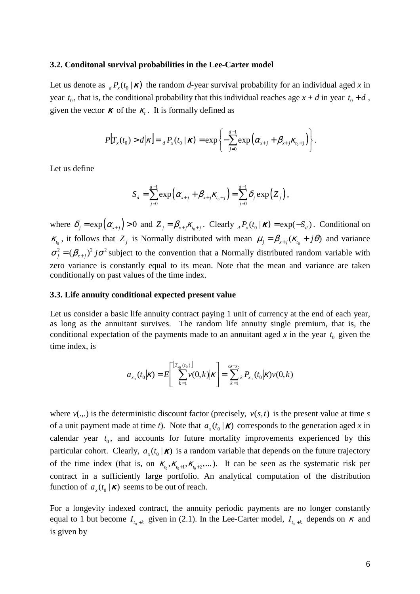#### **3.2. Conditonal survival probabilities in the Lee-Carter model**

Let us denote as  ${}_{d}P_{x}(t_0 | \mathbf{x})$  the random *d*-year survival probability for an individual aged *x* in year  $t_0$ , that is, the conditional probability that this individual reaches age  $x + d$  in year  $t_0 + d$ , given the vector  $\boldsymbol{\kappa}$  of the  $\kappa$ <sub>t</sub>. It is formally defined as

$$
P\big[T_x(t_0) > d\big|\kappa\big] = {}_{d}P_x(t_0\mid\kappa) = \exp\left\{-\sum_{j=0}^{d-1}\exp\big(\alpha_{x+j} + \beta_{x+j}\kappa_{t_0+j}\big)\right\}.
$$

Let us define

$$
S_d = \sum_{j=0}^{d-1} \exp \left( \alpha_{x+j} + \beta_{x+j} \kappa_{t_0+j} \right) = \sum_{j=0}^{d-1} \delta_j \exp \left( Z_j \right),
$$

where  $\delta_j = \exp(\alpha_{x+j}) > 0$  and  $Z_j = \beta_{x+j} \kappa_{i_0+j}$ . Clearly  ${}_{d}P_x(t_0 | \mathbf{x}) = \exp(-S_d)$ . Conditional on  $\kappa_{t_0}$ , it follows that  $Z_j$  is Normally distributed with mean  $\mu_j = \beta_{x+j}(\kappa_{t_0} + j\theta)$  and variance  $\sigma_j^2 = (\beta_{x+j})^2 j \sigma^2$  subject to the convention that a Normally distributed random variable with zero variance is constantly equal to its mean. Note that the mean and variance are taken conditionally on past values of the time index.

#### **3.3. Life annuity conditional expected present value**

Let us consider a basic life annuity contract paying 1 unit of currency at the end of each year, as long as the annuitant survives. The random life annuity single premium, that is, the conditional expectation of the payments made to an annuitant aged  $x$  in the year  $t_0$  given the time index, is

$$
a_{x_0}(t_0|\kappa) = E\left[\sum_{k=1}^{\lfloor T_{x_0}(t_0)\rfloor} \nu(0,k)|\kappa\right] = \sum_{k=1}^{\omega - x_0} {}_{k}P_{x_0}(t_0|\kappa)\nu(0,k)
$$

where  $v(.,.)$  is the deterministic discount factor (precisely,  $v(s,t)$  is the present value at time *s* of a unit payment made at time *t*). Note that  $a_x(t_0 | \mathbf{x})$  corresponds to the generation aged *x* in calendar year  $t_0$ , and accounts for future mortality improvements experienced by this particular cohort. Clearly,  $a_x(t_0 | \mathbf{x})$  is a random variable that depends on the future trajectory of the time index (that is, on  $\kappa_{t_0}, \kappa_{t_0+1}, \kappa_{t_0+2}, \ldots$ ). It can be seen as the systematic risk per contract in a sufficiently large portfolio. An analytical computation of the distribution function of  $a_x(t_0 | \mathbf{x})$  seems to be out of reach.

For a longevity indexed contract, the annuity periodic payments are no longer constantly equal to 1 but become  $I_{t_0+k}$  given in (2.1). In the Lee-Carter model,  $I_{t_0+k}$  depends on  $\kappa$  and is given by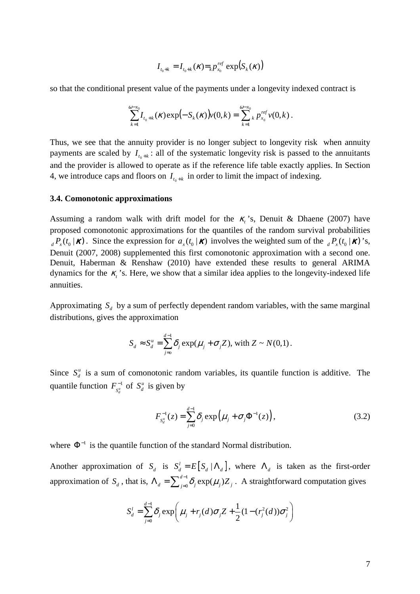$$
I_{t_0+k} = I_{t_0+k}(\kappa) =_k p_{x_0}^{ref} \exp(S_k(\kappa))
$$

so that the conditional present value of the payments under a longevity indexed contract is

$$
\sum_{k=1}^{\omega-x_0} I_{t_0+k}(\kappa) \exp\bigl(-S_k(\kappa)\bigr) v(0,k) = \sum_{k=1}^{\omega-x_0} {}_{k} p_{x_0}^{ref} v(0,k) .
$$

Thus, we see that the annuity provider is no longer subject to longevity risk when annuity payments are scaled by  $I_{t_0+k}$ : all of the systematic longevity risk is passed to the annuitants and the provider is allowed to operate as if the reference life table exactly applies. In Section 4, we introduce caps and floors on  $I_{t_0+k}$  in order to limit the impact of indexing.

#### **3.4. Comonotonic approximations**

Assuming a random walk with drift model for the  $\kappa$ <sup>2</sup>,  $\kappa$ <sub>*t*</sub>  $\kappa$ <sub>2</sub>. Denuit & Dhaene (2007) have proposed comonotonic approximations for the quantiles of the random survival probabilities  $d_{d}P_{x}(t_0 | \mathbf{x})$ . Since the expression for  $a_{x}(t_0 | \mathbf{x})$  involves the weighted sum of the  $d_{d}P_{x}(t_0 | \mathbf{x})$ 's, Denuit (2007, 2008) supplemented this first comonotonic approximation with a second one. Denuit, Haberman & Renshaw (2010) have extended these results to general ARIMA dynamics for the  $\kappa$ <sup>2</sup>, <sup>2</sup>'s. Here, we show that a similar idea applies to the longevity-indexed life annuities.

Approximating  $S_d$  by a sum of perfectly dependent random variables, with the same marginal distributions, gives the approximation

$$
S_d \approx S_d^u = \sum_{j=0}^{d-1} \delta_j \exp(\mu_j + \sigma_j Z), \text{ with } Z \sim N(0,1).
$$

Since  $S_d^u$  is a sum of comonotonic random variables, its quantile function is additive. The quantile function  $F_{S_d^u}^{-1}$  of  $S_d^u$  is given by

$$
F_{S_d^u}^{-1}(z) = \sum_{j=0}^{d-1} \delta_j \exp\left(\mu_j + \sigma_j \Phi^{-1}(z)\right),
$$
 (3.2)

where  $\Phi^{-1}$  is the quantile function of the standard Normal distribution.

Another approximation of  $S_d$  is  $S_d^l = E[S_d | \Lambda_d]$ , where  $\Lambda_d$  is taken as the first-order approximation of  $S_d$ , that is,  $\Lambda_d = \sum_{j=0}^{d-1} \delta_j \exp(\mu_j) Z_j$  $\Lambda_d = \sum_{j=0}^{d-1} \delta_j \exp(\mu_j) Z_j$ . A straightforward computation gives

$$
S_d^i = \sum_{j=0}^{d-1} \delta_j \exp\left(\mu_j + r_j(d)\sigma_j Z + \frac{1}{2}(1 - (r_j^2(d))\sigma_j^2\right)
$$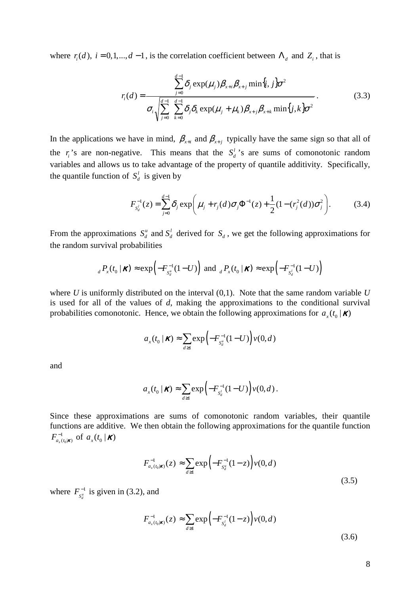where  $r_i(d)$ ,  $i = 0,1,..., d-1$ , is the correlation coefficient between  $\Lambda_d$  and  $Z_i$ , that is

$$
r_i(d) = \frac{\sum_{j=0}^{d-1} \delta_j \exp(\mu_j) \beta_{x+i} \beta_{x+j} \min\{i, j\} \sigma^2}{\sigma_i \sqrt{\sum_{j=0}^{d-1} \sum_{k=0}^{d-1} \delta_j \delta_k \exp(\mu_j + \mu_k) \beta_{x+j} \beta_{x+k} \min\{j, k\} \sigma^2}}.
$$
(3.3)

In the applications we have in mind,  $\beta_{x+i}$  and  $\beta_{x+i}$  typically have the same sign so that all of the  $r_i$ 's are non-negative. This means that the  $S_d^l$ 's are sums of comonotonic random variables and allows us to take advantage of the property of quantile additivity. Specifically, the quantile function of  $S_d^l$  is given by

$$
F_{S_d^1}^{-1}(z) = \sum_{j=0}^{d-1} \delta_j \exp\bigg(\mu_j + r_j(d)\sigma_j \Phi^{-1}(z) + \frac{1}{2}(1 - (r_j^2(d))\sigma_j^2\bigg). \tag{3.4}
$$

From the approximations  $S_d^u$  and  $S_d^l$  derived for  $S_d$ , we get the following approximations for the random survival probabilities

$$
{}_{d}P_{x}(t_0 \mid \boldsymbol{\kappa}) \approx \exp\left(-F_{S_d^u}(1-U)\right) \text{ and } {}_{d}P_{x}(t_0 \mid \boldsymbol{\kappa}) \approx \exp\left(-F_{S_d^l}(1-U)\right)
$$

where *U* is uniformly distributed on the interval (0,1). Note that the same random variable *U* is used for all of the values of *d*, making the approximations to the conditional survival probabilities comonotonic. Hence, we obtain the following approximations for  $a_x(t_0|\mathbf{x})$ 

$$
a_x(t_0 \mid \boldsymbol{\kappa}) \approx \sum_{d \ge 1} \exp\left(-F_{S_d^u}^{-1}(1-U)\right) v(0, d)
$$

and

$$
a_{\mathfrak{X}}(t_0 \mid \boldsymbol{\kappa}) \approx \sum_{d \geq 1} \exp\left(-F_{S_d^l}^{-1}(1-U)\right) \nu(0, d).
$$

Since these approximations are sums of comonotonic random variables, their quantile functions are additive. We then obtain the following approximations for the quantile function 0 1  $F_{a_x(t_0|\boldsymbol{\kappa})}^{-1}$  of  $a_x(t_0|\boldsymbol{\kappa})$ 

$$
F_{a_x(t_0|\boldsymbol{\kappa})}^{-1}(z) \approx \sum_{d \ge 1} \exp\left(-F_{S_d^u}^{-1}(1-z)\right) v(0, d)
$$
\n(3.5)

where  $F_{S_d^u}^{-1}$  is given in (3.2), and

$$
F_{a_x(t_0|\mathbf{x})}^{-1}(z) \approx \sum_{d \ge 1} \exp\left(-F_{S_d^1}^{-1}(1-z)\right) v(0, d)
$$
\n(3.6)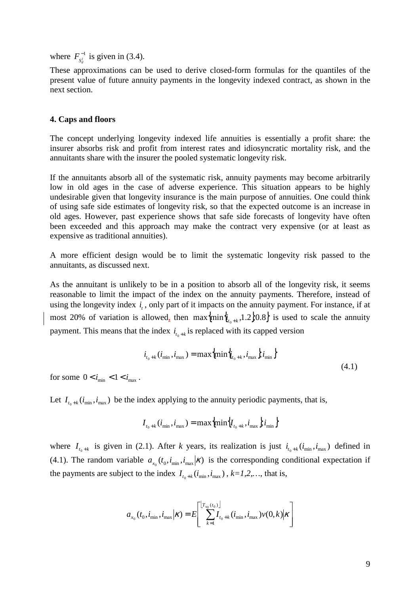where  $F_{S_d^l}^{-1}$  is given in (3.4).

These approximations can be used to derive closed-form formulas for the quantiles of the present value of future annuity payments in the longevity indexed contract, as shown in the next section.

#### **4. Caps and floors**

The concept underlying longevity indexed life annuities is essentially a profit share: the insurer absorbs risk and profit from interest rates and idiosyncratic mortality risk, and the annuitants share with the insurer the pooled systematic longevity risk.

If the annuitants absorb all of the systematic risk, annuity payments may become arbitrarily low in old ages in the case of adverse experience. This situation appears to be highly undesirable given that longevity insurance is the main purpose of annuities. One could think of using safe side estimates of longevity risk, so that the expected outcome is an increase in old ages. However, past experience shows that safe side forecasts of longevity have often been exceeded and this approach may make the contract very expensive (or at least as expensive as traditional annuities).

A more efficient design would be to limit the systematic longevity risk passed to the annuitants, as discussed next.

As the annuitant is unlikely to be in a position to absorb all of the longevity risk, it seems reasonable to limit the impact of the index on the annuity payments. Therefore, instead of using the longevity index  $i_t$ , only part of it impacts on the annuity payment. For instance, if at most 20% of variation is allowed, then  $\max{\min{\{i_{t_0+k}, 1, 2\}}\}$  is used to scale the annuity payment. This means that the index  $i_{t_0+k}$  is replaced with its capped version

$$
i_{t_{0}+k}(i_{\min}, i_{\max}) = \max\{\min\{i_{t_{0}+k}, i_{\max}\}, i_{\min}\}\
$$
\n(4.1)

for some  $0 < i_{\text{min}} < 1 < i_{\text{max}}$ .

Let  $I_{t_0+k}(i_{min}, i_{max})$  be the index applying to the annuity periodic payments, that is,

$$
I_{t_0+k}(i_{\min}, i_{\max}) = \max \{ \min \{ I_{t_0+k}, i_{\max} \}, i_{\min} \}
$$

where  $I_{t_0+k}$  is given in (2.1). After *k* years, its realization is just  $i_{t_0+k}(i_{\min}, i_{\max})$  defined in (4.1). The random variable  $a_{x_0}(t_0, i_{\text{min}}, i_{\text{max}}|\kappa)$  is the corresponding conditional expectation if the payments are subject to the index  $I_{t_0+k}(i_{\min}, i_{\max})$ ,  $k=1, 2, \ldots$ , that is,

$$
a_{x_0}(t_0, i_{\min}, i_{\max}|\kappa) = E\left[\sum_{k=1}^{[T_{x_0}(t_0)]} I_{t_0+k}(i_{\min}, i_{\max})v(0, k)|\kappa\right]
$$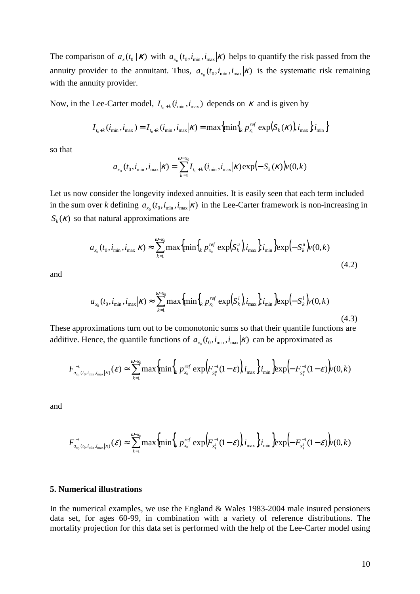The comparison of  $a_x(t_0 | \mathbf{x})$  with  $a_{x_0}(t_0, i_{\min}, i_{\max} | \mathbf{x})$  helps to quantify the risk passed from the annuity provider to the annuitant. Thus,  $a_{x_0}(t_0, i_{\text{min}}, i_{\text{max}}|\kappa)$  is the systematic risk remaining with the annuity provider.

Now, in the Lee-Carter model,  $I_{t_0+k}(i_{\min}, i_{\max})$  depends on  $\kappa$  and is given by

$$
I_{t_0+k}(i_{\min}, i_{\max}) = I_{t_0+k}(i_{\min}, i_{\max}|\kappa) = \max\{\min\{k, p_{x_0}^{ref} \exp(S_k(\kappa)), i_{\max}\}, i_{\min}\}
$$

so that

$$
a_{x_0}(t_0, i_{\min}, i_{\max}|\kappa) = \sum_{k=1}^{\omega - x_0} I_{t_0 + k}(i_{\min}, i_{\max}|\kappa) \exp(-S_k(\kappa)) v(0, k)
$$

Let us now consider the longevity indexed annuities. It is easily seen that each term included in the sum over *k* defining  $a_{x_0}(t_0, i_{\text{min}}, i_{\text{max}}|k)$  in the Lee-Carter framework is non-increasing in  $S_k(\kappa)$  so that natural approximations are

$$
a_{x_0}(t_0, i_{\min}, i_{\max}|\kappa) \approx \sum_{k=1}^{\omega - x_0} \max \{ \min \left\{ \sum_{k} p_{x_0}^{ref} \exp \left( S_k^u \right) i_{\max} \right\} i_{\min} \} \exp \left( -S_k^u \right) v(0, k) \tag{4.2}
$$

and

$$
a_{x_0}(t_0, i_{\min}, i_{\max}|\kappa) \approx \sum_{k=1}^{\omega - x_0} \max \{ \min \left\{ \sum_{k} p_{x_0}^{ref} \exp \left( S_k^{\dagger} \right) i_{\max} \right\} i_{\min} \} \exp \left( -S_k^{\dagger} \right) v(0, k) \tag{4.3}
$$

These approximations turn out to be comonotonic sums so that their quantile functions are additive. Hence, the quantile functions of  $a_{x_0}(t_0, i_{\text{min}}, i_{\text{max}}|\kappa)$  can be approximated as

$$
F_{a_{x_0}(t_0,i_{\min},i_{\max}|\kappa)}^{-1}(\mathcal{E}) \approx \sum_{k=1}^{\omega-x_0} \max \{ \min \left\{ \min_{k} p_{x_0}^{ref} \exp \left( F_{S_k^u}^{-1}(1-\mathcal{E}) \right) i_{\max} \right\} i_{\min} \} \exp \left( -F_{S_k^u}^{-1}(1-\mathcal{E}) \right) v(0,k)
$$

and

$$
F_{a_{x_0}(t_0,i_{\min},i_{\max}|K)}^{-1}(\mathcal{E}) \approx \sum_{k=1}^{\omega-x_0} \max \left\{ \min \left\{ \min_{k} p_{x_0}^{ref} \exp \left( F_{S_k^l}^{-1}(1-\mathcal{E}) \right) i_{\max} \right\} i_{\min} \right\} \exp \left( -F_{S_k^l}^{-1}(1-\mathcal{E}) \right) v(0,k)
$$

#### **5. Numerical illustrations**

In the numerical examples, we use the England & Wales 1983-2004 male insured pensioners data set, for ages 60-99, in combination with a variety of reference distributions. The mortality projection for this data set is performed with the help of the Lee-Carter model using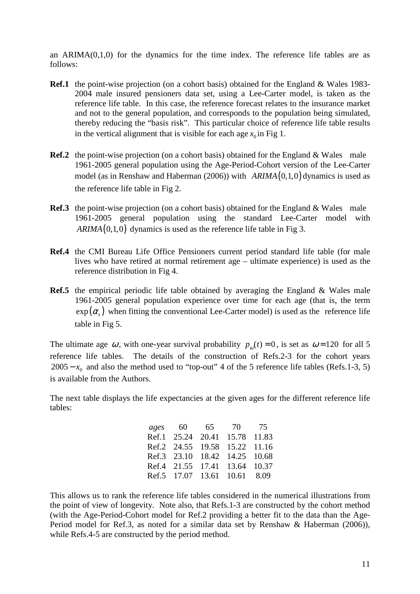an  $ARIMA(0,1,0)$  for the dynamics for the time index. The reference life tables are as follows:

- **Ref.1** the point-wise projection (on a cohort basis) obtained for the England & Wales 1983-2004 male insured pensioners data set, using a Lee-Carter model, is taken as the reference life table. In this case, the reference forecast relates to the insurance market and not to the general population, and corresponds to the population being simulated, thereby reducing the "basis risk". This particular choice of reference life table results in the vertical alignment that is visible for each age  $x_0$  in Fig 1.
- **Ref.2** the point-wise projection (on a cohort basis) obtained for the England & Wales male 1961-2005 general population using the Age-Period-Cohort version of the Lee-Carter model (as in Renshaw and Haberman (2006)) with *ARIMA*(0,1,0) dynamics is used as the reference life table in Fig 2.
- **Ref.3** the point-wise projection (on a cohort basis) obtained for the England & Wales male 1961-2005 general population using the standard Lee-Carter model with  $ARIMA(0,1,0)$  dynamics is used as the reference life table in Fig 3.
- **Ref.4** the CMI Bureau Life Office Pensioners current period standard life table (for male lives who have retired at normal retirement age – ultimate experience) is used as the reference distribution in Fig 4.
- **Ref.5** the empirical periodic life table obtained by averaging the England & Wales male 1961-2005 general population experience over time for each age (that is, the term  $\exp(\alpha_x)$  when fitting the conventional Lee-Carter model) is used as the reference life table in Fig 5.

The ultimate age  $\omega$ , with one-year survival probability  $p_{\omega}(t) = 0$ , is set as  $\omega = 120$  for all 5 reference life tables. The details of the construction of Refs.2-3 for the cohort years  $2005 - x_0$  and also the method used to "top-out" 4 of the 5 reference life tables (Refs.1-3, 5) is available from the Authors.

The next table displays the life expectancies at the given ages for the different reference life tables:

| ages 60                       | 65 | 70 75 |  |
|-------------------------------|----|-------|--|
| Ref.1 25.24 20.41 15.78 11.83 |    |       |  |
| Ref.2 24.55 19.58 15.22 11.16 |    |       |  |
| Ref.3 23.10 18.42 14.25 10.68 |    |       |  |
| Ref.4 21.55 17.41 13.64 10.37 |    |       |  |
| Ref.5 17.07 13.61 10.61 8.09  |    |       |  |

This allows us to rank the reference life tables considered in the numerical illustrations from the point of view of longevity. Note also, that Refs.1-3 are constructed by the cohort method (with the Age-Period-Cohort model for Ref.2 providing a better fit to the data than the Age-Period model for Ref.3, as noted for a similar data set by Renshaw & Haberman (2006)), while Refs.4-5 are constructed by the period method.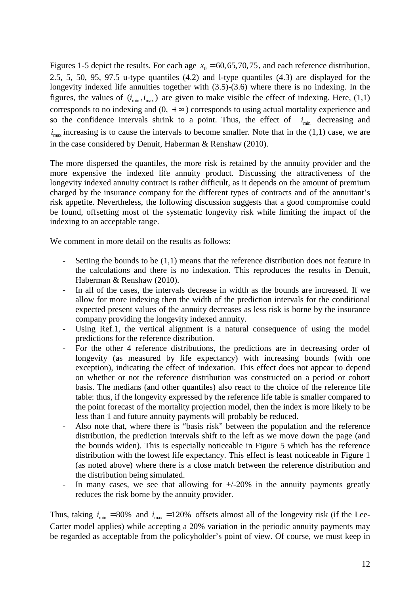Figures 1-5 depict the results. For each age  $x_0 = 60, 65, 70, 75$ , and each reference distribution, 2.5, 5, 50, 95, 97.5 u-type quantiles (4.2) and l-type quantiles (4.3) are displayed for the longevity indexed life annuities together with (3.5)-(3.6) where there is no indexing. In the figures, the values of  $(i_{\text{min}}, i_{\text{max}})$  are given to make visible the effect of indexing. Here, (1,1) corresponds to no indexing and  $(0, +\infty)$  corresponds to using actual mortality experience and so the confidence intervals shrink to a point. Thus, the effect of  $i_{\text{min}}$  decreasing and  $i_{\text{max}}$  increasing is to cause the intervals to become smaller. Note that in the (1,1) case, we are in the case considered by Denuit, Haberman & Renshaw (2010).

The more dispersed the quantiles, the more risk is retained by the annuity provider and the more expensive the indexed life annuity product. Discussing the attractiveness of the longevity indexed annuity contract is rather difficult, as it depends on the amount of premium charged by the insurance company for the different types of contracts and of the annuitant's risk appetite. Nevertheless, the following discussion suggests that a good compromise could be found, offsetting most of the systematic longevity risk while limiting the impact of the indexing to an acceptable range.

We comment in more detail on the results as follows:

- Setting the bounds to be  $(1,1)$  means that the reference distribution does not feature in the calculations and there is no indexation. This reproduces the results in Denuit, Haberman & Renshaw (2010).
- In all of the cases, the intervals decrease in width as the bounds are increased. If we allow for more indexing then the width of the prediction intervals for the conditional expected present values of the annuity decreases as less risk is borne by the insurance company providing the longevity indexed annuity.
- Using Ref.1, the vertical alignment is a natural consequence of using the model predictions for the reference distribution.
- For the other 4 reference distributions, the predictions are in decreasing order of longevity (as measured by life expectancy) with increasing bounds (with one exception), indicating the effect of indexation. This effect does not appear to depend on whether or not the reference distribution was constructed on a period or cohort basis. The medians (and other quantiles) also react to the choice of the reference life table: thus, if the longevity expressed by the reference life table is smaller compared to the point forecast of the mortality projection model, then the index is more likely to be less than 1 and future annuity payments will probably be reduced.
- Also note that, where there is "basis risk" between the population and the reference distribution, the prediction intervals shift to the left as we move down the page (and the bounds widen). This is especially noticeable in Figure 5 which has the reference distribution with the lowest life expectancy. This effect is least noticeable in Figure 1 (as noted above) where there is a close match between the reference distribution and the distribution being simulated.
- In many cases, we see that allowing for  $+/20\%$  in the annuity payments greatly reduces the risk borne by the annuity provider.

Thus, taking  $i_{\text{min}} = 80\%$  and  $i_{\text{max}} = 120\%$  offsets almost all of the longevity risk (if the Lee-Carter model applies) while accepting a 20% variation in the periodic annuity payments may be regarded as acceptable from the policyholder's point of view. Of course, we must keep in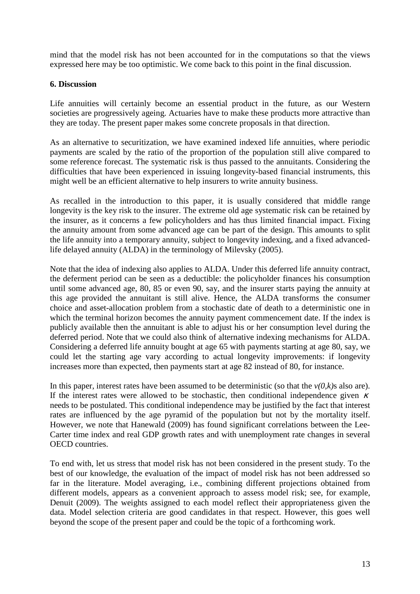mind that the model risk has not been accounted for in the computations so that the views expressed here may be too optimistic. We come back to this point in the final discussion.

# **6. Discussion**

Life annuities will certainly become an essential product in the future, as our Western societies are progressively ageing. Actuaries have to make these products more attractive than they are today. The present paper makes some concrete proposals in that direction.

As an alternative to securitization, we have examined indexed life annuities, where periodic payments are scaled by the ratio of the proportion of the population still alive compared to some reference forecast. The systematic risk is thus passed to the annuitants. Considering the difficulties that have been experienced in issuing longevity-based financial instruments, this might well be an efficient alternative to help insurers to write annuity business.

As recalled in the introduction to this paper, it is usually considered that middle range longevity is the key risk to the insurer. The extreme old age systematic risk can be retained by the insurer, as it concerns a few policyholders and has thus limited financial impact. Fixing the annuity amount from some advanced age can be part of the design. This amounts to split the life annuity into a temporary annuity, subject to longevity indexing, and a fixed advancedlife delayed annuity (ALDA) in the terminology of Milevsky (2005).

Note that the idea of indexing also applies to ALDA. Under this deferred life annuity contract, the deferment period can be seen as a deductible: the policyholder finances his consumption until some advanced age, 80, 85 or even 90, say, and the insurer starts paying the annuity at this age provided the annuitant is still alive. Hence, the ALDA transforms the consumer choice and asset-allocation problem from a stochastic date of death to a deterministic one in which the terminal horizon becomes the annuity payment commencement date. If the index is publicly available then the annuitant is able to adjust his or her consumption level during the deferred period. Note that we could also think of alternative indexing mechanisms for ALDA. Considering a deferred life annuity bought at age 65 with payments starting at age 80, say, we could let the starting age vary according to actual longevity improvements: if longevity increases more than expected, then payments start at age 82 instead of 80, for instance.

In this paper, interest rates have been assumed to be deterministic (so that the  $v(0,k)$ s also are). If the interest rates were allowed to be stochastic, then conditional independence given  $\kappa$ needs to be postulated. This conditional independence may be justified by the fact that interest rates are influenced by the age pyramid of the population but not by the mortality itself. However, we note that Hanewald (2009) has found significant correlations between the Lee-Carter time index and real GDP growth rates and with unemployment rate changes in several OECD countries.

To end with, let us stress that model risk has not been considered in the present study. To the best of our knowledge, the evaluation of the impact of model risk has not been addressed so far in the literature. Model averaging, i.e., combining different projections obtained from different models, appears as a convenient approach to assess model risk; see, for example, Denuit (2009). The weights assigned to each model reflect their appropriateness given the data. Model selection criteria are good candidates in that respect. However, this goes well beyond the scope of the present paper and could be the topic of a forthcoming work.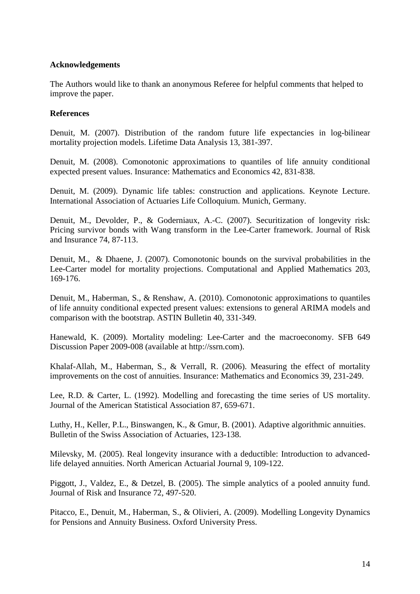# **Acknowledgements**

The Authors would like to thank an anonymous Referee for helpful comments that helped to improve the paper.

# **References**

Denuit, M. (2007). Distribution of the random future life expectancies in log-bilinear mortality projection models. Lifetime Data Analysis 13, 381-397.

Denuit, M. (2008). Comonotonic approximations to quantiles of life annuity conditional expected present values. Insurance: Mathematics and Economics 42, 831-838.

Denuit, M. (2009). Dynamic life tables: construction and applications. Keynote Lecture. International Association of Actuaries Life Colloquium. Munich, Germany.

Denuit, M., Devolder, P., & Goderniaux, A.-C. (2007). Securitization of longevity risk: Pricing survivor bonds with Wang transform in the Lee-Carter framework. Journal of Risk and Insurance 74, 87-113.

Denuit, M., & Dhaene, J. (2007). Comonotonic bounds on the survival probabilities in the Lee-Carter model for mortality projections. Computational and Applied Mathematics 203, 169-176.

Denuit, M., Haberman, S., & Renshaw, A. (2010). Comonotonic approximations to quantiles of life annuity conditional expected present values: extensions to general ARIMA models and comparison with the bootstrap. ASTIN Bulletin 40, 331-349.

Hanewald, K. (2009). Mortality modeling: Lee-Carter and the macroeconomy. SFB 649 Discussion Paper 2009-008 (available at http://ssrn.com).

Khalaf-Allah, M., Haberman, S., & Verrall, R. (2006). Measuring the effect of mortality improvements on the cost of annuities. Insurance: Mathematics and Economics 39, 231-249.

Lee, R.D. & Carter, L. (1992). Modelling and forecasting the time series of US mortality. Journal of the American Statistical Association 87, 659-671.

Luthy, H., Keller, P.L., Binswangen, K., & Gmur, B. (2001). Adaptive algorithmic annuities. Bulletin of the Swiss Association of Actuaries, 123-138.

Milevsky, M. (2005). Real longevity insurance with a deductible: Introduction to advancedlife delayed annuities. North American Actuarial Journal 9, 109-122.

Piggott, J., Valdez, E., & Detzel, B. (2005). The simple analytics of a pooled annuity fund. Journal of Risk and Insurance 72, 497-520.

Pitacco, E., Denuit, M., Haberman, S., & Olivieri, A. (2009). Modelling Longevity Dynamics for Pensions and Annuity Business. Oxford University Press.